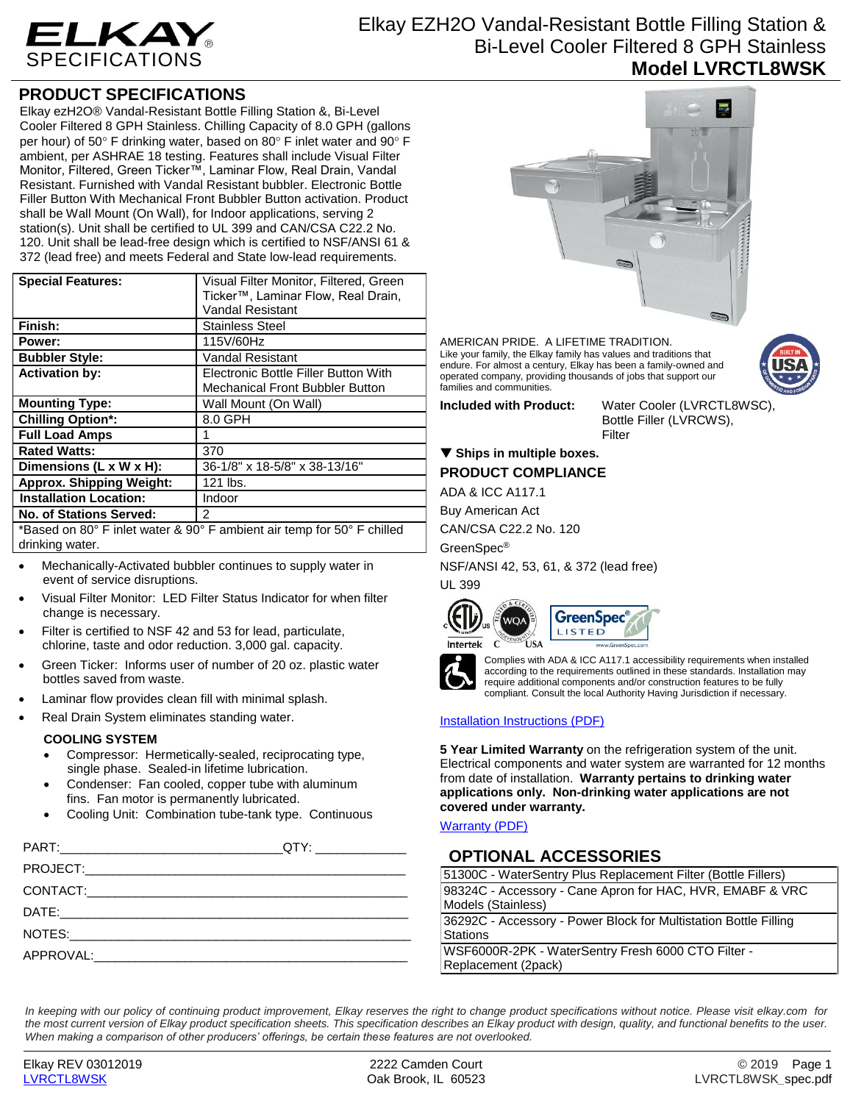

# Elkay EZH2O Vandal-Resistant Bottle Filling Station & Bi-Level Cooler Filtered 8 GPH Stainless **Model LVRCTL8WSK**

### **PRODUCT SPECIFICATIONS**

Elkay ezH2O® Vandal-Resistant Bottle Filling Station &, Bi-Level Cooler Filtered 8 GPH Stainless. Chilling Capacity of 8.0 GPH (gallons per hour) of 50° F drinking water, based on 80° F inlet water and 90° F ambient, per ASHRAE 18 testing. Features shall include Visual Filter Monitor, Filtered, Green Ticker™, Laminar Flow, Real Drain, Vandal Resistant. Furnished with Vandal Resistant bubbler. Electronic Bottle Filler Button With Mechanical Front Bubbler Button activation. Product shall be Wall Mount (On Wall), for Indoor applications, serving 2 station(s). Unit shall be certified to UL 399 and CAN/CSA C22.2 No. 120. Unit shall be lead-free design which is certified to NSF/ANSI 61 & 372 (lead free) and meets Federal and State low-lead requirements.

| <b>Special Features:</b>                                                                                                                                                                                                                                                                                                                                                                                                                                                             | Visual Filter Monitor, Filtered, Green<br>Ticker <sup>™</sup> , Laminar Flow, Real Drain,<br><b>Vandal Resistant</b> |  |
|--------------------------------------------------------------------------------------------------------------------------------------------------------------------------------------------------------------------------------------------------------------------------------------------------------------------------------------------------------------------------------------------------------------------------------------------------------------------------------------|----------------------------------------------------------------------------------------------------------------------|--|
| Finish:                                                                                                                                                                                                                                                                                                                                                                                                                                                                              | <b>Stainless Steel</b>                                                                                               |  |
| Power:                                                                                                                                                                                                                                                                                                                                                                                                                                                                               | 115V/60Hz                                                                                                            |  |
| <b>Bubbler Style:</b>                                                                                                                                                                                                                                                                                                                                                                                                                                                                | <b>Vandal Resistant</b>                                                                                              |  |
| <b>Activation by:</b>                                                                                                                                                                                                                                                                                                                                                                                                                                                                | Electronic Bottle Filler Button With                                                                                 |  |
|                                                                                                                                                                                                                                                                                                                                                                                                                                                                                      | Mechanical Front Bubbler Button                                                                                      |  |
| <b>Mounting Type:</b>                                                                                                                                                                                                                                                                                                                                                                                                                                                                | Wall Mount (On Wall)                                                                                                 |  |
| <b>Chilling Option*:</b>                                                                                                                                                                                                                                                                                                                                                                                                                                                             | 8.0 GPH                                                                                                              |  |
| <b>Full Load Amps</b>                                                                                                                                                                                                                                                                                                                                                                                                                                                                |                                                                                                                      |  |
| <b>Rated Watts:</b>                                                                                                                                                                                                                                                                                                                                                                                                                                                                  | 370                                                                                                                  |  |
| Dimensions (L x W x H):                                                                                                                                                                                                                                                                                                                                                                                                                                                              | 36-1/8" x 18-5/8" x 38-13/16"                                                                                        |  |
| <b>Approx. Shipping Weight:</b>                                                                                                                                                                                                                                                                                                                                                                                                                                                      | 121 lbs.                                                                                                             |  |
| <b>Installation Location:</b>                                                                                                                                                                                                                                                                                                                                                                                                                                                        | Indoor                                                                                                               |  |
| <b>No. of Stations Served:</b>                                                                                                                                                                                                                                                                                                                                                                                                                                                       | 2                                                                                                                    |  |
| $*$ $\blacksquare$ $\blacksquare$ $\blacksquare$ $\blacksquare$ $\blacksquare$ $\blacksquare$ $\blacksquare$ $\blacksquare$ $\blacksquare$ $\blacksquare$ $\blacksquare$ $\blacksquare$ $\blacksquare$ $\blacksquare$ $\blacksquare$ $\blacksquare$ $\blacksquare$ $\blacksquare$ $\blacksquare$ $\blacksquare$ $\blacksquare$ $\blacksquare$ $\blacksquare$ $\blacksquare$ $\blacksquare$ $\blacksquare$ $\blacksquare$ $\blacksquare$ $\blacksquare$ $\blacksquare$ $\blacksquare$ |                                                                                                                      |  |

\*Based on 80° F inlet water & 90° F ambient air temp for 50° F chilled drinking water.

- Mechanically-Activated bubbler continues to supply water in event of service disruptions.
- Visual Filter Monitor: LED Filter Status Indicator for when filter change is necessary.
- Filter is certified to NSF 42 and 53 for lead, particulate, chlorine, taste and odor reduction. 3,000 gal. capacity.
- Green Ticker: Informs user of number of 20 oz. plastic water bottles saved from waste.
- Laminar flow provides clean fill with minimal splash.
- Real Drain System eliminates standing water.

### **COOLING SYSTEM**

- Compressor: Hermetically-sealed, reciprocating type, single phase. Sealed-in lifetime lubrication.
- Condenser: Fan cooled, copper tube with aluminum fins. Fan motor is permanently lubricated.
- Cooling Unit: Combination tube-tank type. Continuous



AMERICAN PRIDE. A LIFETIME TRADITION. Like your family, the Elkay family has values and traditions that endure. For almost a century, Elkay has been a family-owned and operated company, providing thousands of jobs that support our families and communities.



**Included with Product:** Water Cooler (LVRCTL8WSC), Bottle Filler (LVRCWS), Filter

### **Ships in multiple boxes. PRODUCT COMPLIANCE**

ADA & ICC A117.1

Buy American Act

CAN/CSA C22.2 No. 120

GreenSpec®

NSF/ANSI 42, 53, 61, & 372 (lead free) UL 399







Complies with ADA & ICC A117.1 accessibility requirements when installed according to the requirements outlined in these standards. Installation may require additional components and/or construction features to be fully compliant. Consult the local Authority Having Jurisdiction if necessary.

### [Installation Instructions \(PDF\)](http://www.elkay.com/wcsstore/lkdocs/care-cleaning-install-warranty-sheets/98982c.pdf)

**5 Year Limited Warranty** on the refrigeration system of the unit. Electrical components and water system are warranted for 12 months from date of installation. **Warranty pertains to drinking water applications only. Non-drinking water applications are not covered under warranty.**

[Warranty](http://www.elkay.com/wcsstore/lkdocs/care-cleaning-install-warranty-sheets/96993c.pdf) (PDF)

# **OPTIONAL ACCESSORIES**

| 51300C - WaterSentry Plus Replacement Filter (Bottle Fillers)    |  |
|------------------------------------------------------------------|--|
| 98324C - Accessory - Cane Apron for HAC, HVR, EMABF & VRC        |  |
| Models (Stainless)                                               |  |
| 36292C - Accessory - Power Block for Multistation Bottle Filling |  |
| <b>Stations</b>                                                  |  |
| WSF6000R-2PK - WaterSentry Fresh 6000 CTO Filter -               |  |
| Replacement (2pack)                                              |  |

*In keeping with our policy of continuing product improvement, Elkay reserves the right to change product specifications without notice. Please visit elkay.com for the most current version of Elkay product specification sheets. This specification describes an Elkay product with design, quality, and functional benefits to the user. When making a comparison of other producers' offerings, be certain these features are not overlooked.*